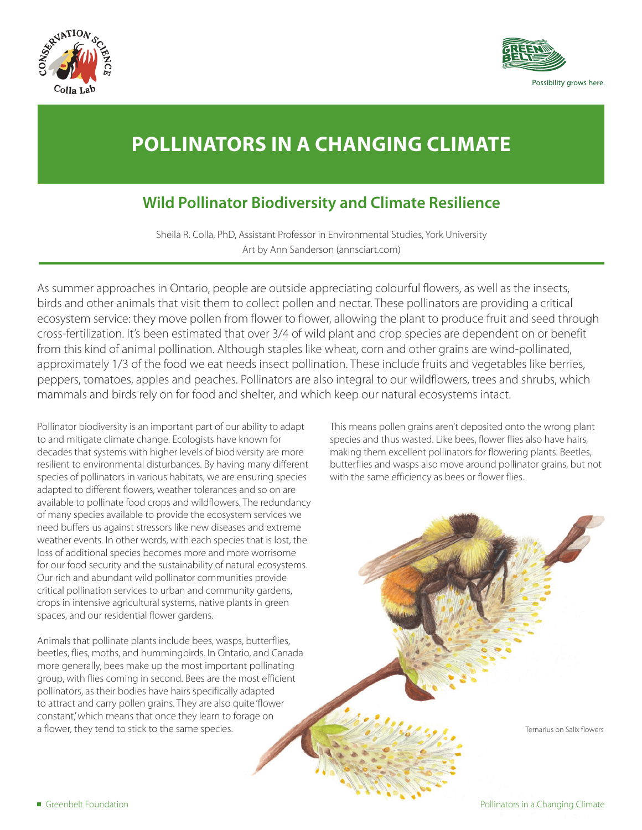



## **POLLINATORS IN A CHANGING CLIMATE**

## **Wild Pollinator Biodiversity and Climate Resilience**

Sheila R. Colla, PhD, Assistant Professor in Environmental Studies, York University Art by Ann Sanderson (annsciart.com)

As summer approaches in Ontario, people are outside appreciating colourful flowers, as well as the insects, birds and other animals that visit them to collect pollen and nectar. These pollinators are providing a critical ecosystem service: they move pollen from flower to flower, allowing the plant to produce fruit and seed through cross-fertilization. It's been estimated that over 3/4 of wild plant and crop species are dependent on or benefit from this kind of animal pollination. Although staples like wheat, corn and other grains are wind-pollinated, approximately 1/3 of the food we eat needs insect pollination. These include fruits and vegetables like berries, peppers, tomatoes, apples and peaches. Pollinators are also integral to our wildflowers, trees and shrubs, which mammals and birds rely on for food and shelter, and which keep our natural ecosystems intact.

Pollinator biodiversity is an important part of our ability to adapt to and mitigate climate change. Ecologists have known for decades that systems with higher levels of biodiversity are more resilient to environmental disturbances. By having many different species of pollinators in various habitats, we are ensuring species adapted to different flowers, weather tolerances and so on are available to pollinate food crops and wildflowers. The redundancy of many species available to provide the ecosystem services we need buffers us against stressors like new diseases and extreme weather events. In other words, with each species that is lost, the loss of additional species becomes more and more worrisome for our food security and the sustainability of natural ecosystems. Our rich and abundant wild pollinator communities provide critical pollination services to urban and community gardens, crops in intensive agricultural systems, native plants in green spaces, and our residential flower gardens.

Animals that pollinate plants include bees, wasps, butterflies, beetles, flies, moths, and hummingbirds. In Ontario, and Canada more generally, bees make up the most important pollinating group, with flies coming in second. Bees are the most efficient pollinators, as their bodies have hairs specifically adapted to attract and carry pollen grains. They are also quite 'flower constant,' which means that once they learn to forage on a flower, they tend to stick to the same species.

This means pollen grains aren't deposited onto the wrong plant species and thus wasted. Like bees, flower flies also have hairs, making them excellent pollinators for flowering plants. Beetles, butterflies and wasps also move around pollinator grains, but not with the same efficiency as bees or flower flies.

Ternarius on Salix flowers

■ Greenbelt Foundation **■** Greenbelt Foundation **Pollinators in a Changing Climate**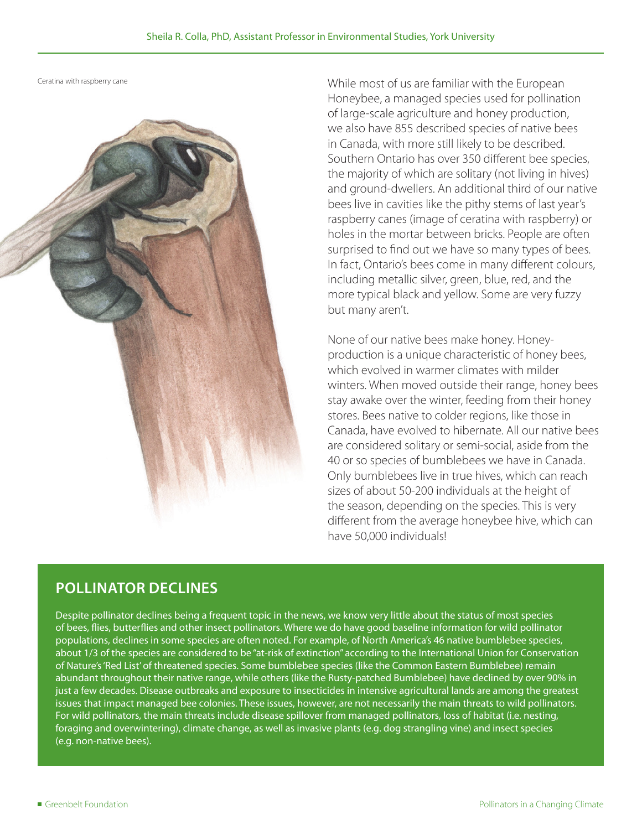Ceratina with raspberry cane



While most of us are familiar with the European Honeybee, a managed species used for pollination of large-scale agriculture and honey production, we also have 855 described species of native bees in Canada, with more still likely to be described. Southern Ontario has over 350 different bee species, the majority of which are solitary (not living in hives) and ground-dwellers. An additional third of our native bees live in cavities like the pithy stems of last year's raspberry canes (image of ceratina with raspberry) or holes in the mortar between bricks. People are often surprised to find out we have so many types of bees. In fact, Ontario's bees come in many different colours, including metallic silver, green, blue, red, and the more typical black and yellow. Some are very fuzzy but many aren't.

None of our native bees make honey. Honeyproduction is a unique characteristic of honey bees, which evolved in warmer climates with milder winters. When moved outside their range, honey bees stay awake over the winter, feeding from their honey stores. Bees native to colder regions, like those in Canada, have evolved to hibernate. All our native bees are considered solitary or semi-social, aside from the 40 or so species of bumblebees we have in Canada. Only bumblebees live in true hives, which can reach sizes of about 50-200 individuals at the height of the season, depending on the species. This is very different from the average honeybee hive, which can have 50,000 individuals!

#### **POLLINATOR DECLINES**

Despite pollinator declines being a frequent topic in the news, we know very little about the status of most species of bees, flies, butterflies and other insect pollinators. Where we do have good baseline information for wild pollinator populations, declines in some species are often noted. For example, of North America's 46 native bumblebee species, about 1/3 of the species are considered to be "at-risk of extinction" according to the International Union for Conservation of Nature's 'Red List' of threatened species. Some bumblebee species (like the Common Eastern Bumblebee) remain abundant throughout their native range, while others (like the Rusty-patched Bumblebee) have declined by over 90% in just a few decades. Disease outbreaks and exposure to insecticides in intensive agricultural lands are among the greatest issues that impact managed bee colonies. These issues, however, are not necessarily the main threats to wild pollinators. For wild pollinators, the main threats include disease spillover from managed pollinators, loss of habitat (i.e. nesting, foraging and overwintering), climate change, as well as invasive plants (e.g. dog strangling vine) and insect species (e.g. non-native bees).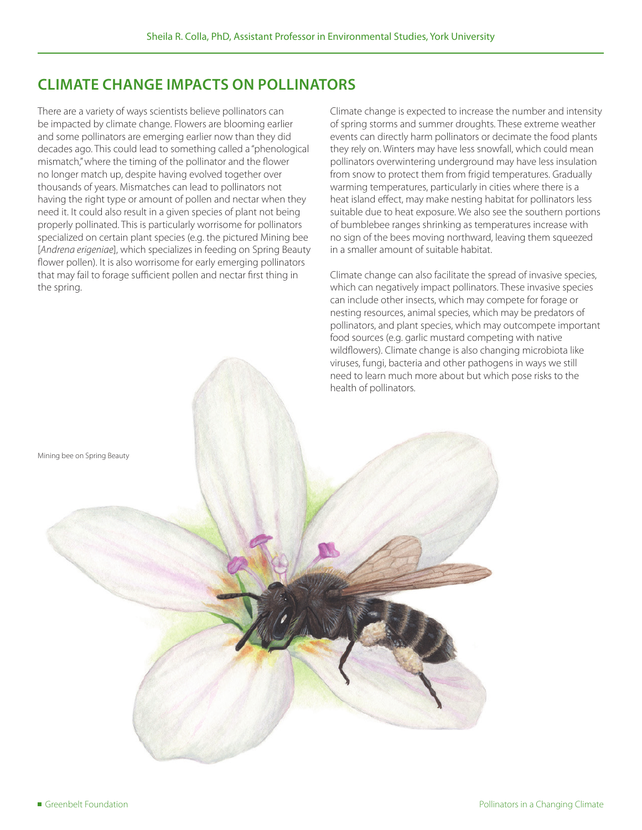## **CLIMATE CHANGE IMPACTS ON POLLINATORS**

There are a variety of ways scientists believe pollinators can be impacted by climate change. Flowers are blooming earlier and some pollinators are emerging earlier now than they did decades ago. This could lead to something called a "phenological mismatch," where the timing of the pollinator and the flower no longer match up, despite having evolved together over thousands of years. Mismatches can lead to pollinators not having the right type or amount of pollen and nectar when they need it. It could also result in a given species of plant not being properly pollinated. This is particularly worrisome for pollinators specialized on certain plant species (e.g. the pictured Mining bee [*Andrena erigeniae*], which specializes in feeding on Spring Beauty flower pollen). It is also worrisome for early emerging pollinators that may fail to forage sufficient pollen and nectar first thing in the spring.

Climate change is expected to increase the number and intensity of spring storms and summer droughts. These extreme weather events can directly harm pollinators or decimate the food plants they rely on. Winters may have less snowfall, which could mean pollinators overwintering underground may have less insulation from snow to protect them from frigid temperatures. Gradually warming temperatures, particularly in cities where there is a heat island effect, may make nesting habitat for pollinators less suitable due to heat exposure. We also see the southern portions of bumblebee ranges shrinking as temperatures increase with no sign of the bees moving northward, leaving them squeezed in a smaller amount of suitable habitat.

Climate change can also facilitate the spread of invasive species, which can negatively impact pollinators. These invasive species can include other insects, which may compete for forage or nesting resources, animal species, which may be predators of pollinators, and plant species, which may outcompete important food sources (e.g. garlic mustard competing with native wildflowers). Climate change is also changing microbiota like viruses, fungi, bacteria and other pathogens in ways we still need to learn much more about but which pose risks to the health of pollinators.

Mining bee on Spring Beauty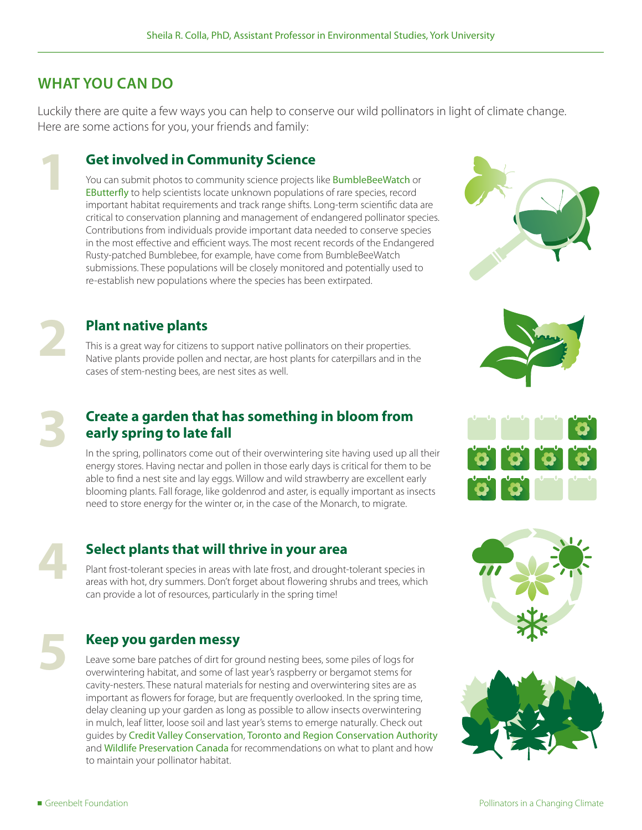#### **WHAT YOU CAN DO**

**1**

**2**

**3**

Luckily there are quite a few ways you can help to conserve our wild pollinators in light of climate change. Here are some actions for you, your friends and family:

#### **Get involved in Community Science**

You can submit photos to community science projects like **[BumbleBeeWatch](http://www.Bumblebeewatch.org)** or [EButter](http://www.e-butterfly.org)fly to help scientists locate unknown populations of rare species, record important habitat requirements and track range shifts. Long-term scientific data are critical to conservation planning and management of endangered pollinator species. Contributions from individuals provide important data needed to conserve species in the most effective and efficient ways. The most recent records of the Endangered Rusty-patched Bumblebee, for example, have come from BumbleBeeWatch submissions. These populations will be closely monitored and potentially used to re-establish new populations where the species has been extirpated.

### **Plant native plants**

This is a great way for citizens to support native pollinators on their properties. Native plants provide pollen and nectar, are host plants for caterpillars and in the cases of stem-nesting bees, are nest sites as well.

#### **Create a garden that has something in bloom from early spring to late fall**

In the spring, pollinators come out of their overwintering site having used up all their energy stores. Having nectar and pollen in those early days is critical for them to be able to find a nest site and lay eggs. Willow and wild strawberry are excellent early blooming plants. Fall forage, like goldenrod and aster, is equally important as insects need to store energy for the winter or, in the case of the Monarch, to migrate.

# **4**

**5**

#### **Select plants that will thrive in your area**

Plant frost-tolerant species in areas with late frost, and drought-tolerant species in areas with hot, dry summers. Don't forget about flowering shrubs and trees, which can provide a lot of resources, particularly in the spring time!

#### **Keep you garden messy**

Leave some bare patches of dirt for ground nesting bees, some piles of logs for overwintering habitat, and some of last year's raspberry or bergamot stems for cavity-nesters. These natural materials for nesting and overwintering sites are as important as flowers for forage, but are frequently overlooked. In the spring time, delay cleaning up your garden as long as possible to allow insects overwintering in mulch, leaf litter, loose soil and last year's stems to emerge naturally. Check out guides by [Credit Valley Conservation](https://cvc.ca/wp-content/uploads/2017/04/17-uo-nativeplantsforpollinators-booklet-v8-web.pdf), [Toronto and Region Conservation Authority](https://trca.ca/app/uploads/2016/04/PollinatorMaintenanceGuide_WEB.pdf) and [Wildlife Preservation Canada](https://wildlifepreservation.ca/a-flower-patch-for-the-rusty-patched/) for recommendations on what to plant and how to maintain your pollinator habitat.









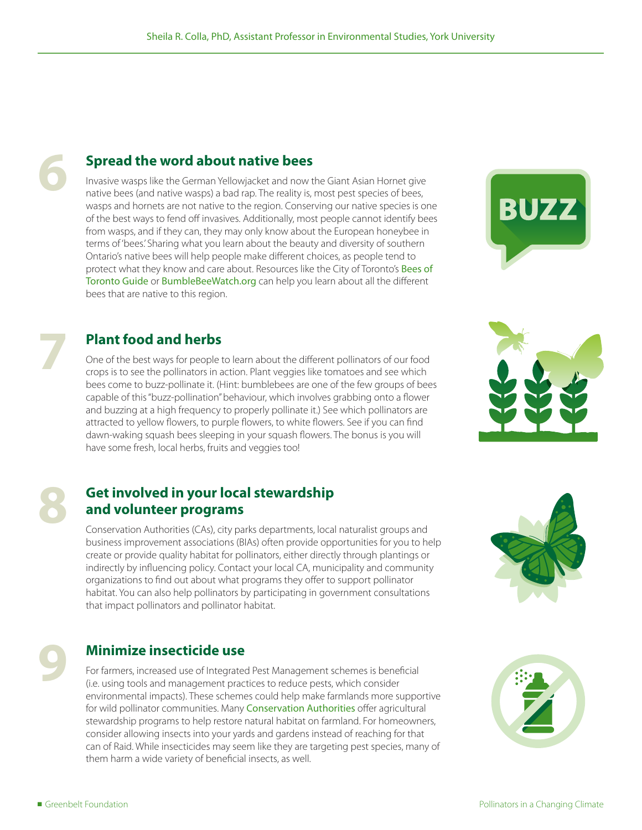#### **Spread the word about native bees**

Invasive wasps like the German Yellowjacket and now the Giant Asian Hornet give native bees (and native wasps) a bad rap. The reality is, most pest species of bees, wasps and hornets are not native to the region. Conserving our native species is one of the best ways to fend off invasives. Additionally, most people cannot identify bees from wasps, and if they can, they may only know about the European honeybee in terms of 'bees.' Sharing what you learn about the beauty and diversity of southern Ontario's native bees will help people make different choices, as people tend to protect what they know and care about. Resources like the City of Toronto's Bees of [Toronto Guide](https://www.toronto.ca/wp-content/uploads/2017/08/8eb7-Biodiversity-BeesBook-Division-Planning-And-Development.pdf) or [BumbleBeeWatch.org](https://www.bumblebeewatch.org/) can help you learn about all the different bees that are native to this region.

#### **Plant food and herbs**

One of the best ways for people to learn about the different pollinators of our food crops is to see the pollinators in action. Plant veggies like tomatoes and see which bees come to buzz-pollinate it. (Hint: bumblebees are one of the few groups of bees capable of this "buzz-pollination" behaviour, which involves grabbing onto a flower and buzzing at a high frequency to properly pollinate it.) See which pollinators are attracted to yellow flowers, to purple flowers, to white flowers. See if you can find dawn-waking squash bees sleeping in your squash flowers. The bonus is you will have some fresh, local herbs, fruits and veggies too!

#### **Get involved in your local stewardship and volunteer programs**

Conservation Authorities (CAs), city parks departments, local naturalist groups and business improvement associations (BIAs) often provide opportunities for you to help create or provide quality habitat for pollinators, either directly through plantings or indirectly by influencing policy. Contact your local CA, municipality and community organizations to find out about what programs they offer to support pollinator habitat. You can also help pollinators by participating in government consultations that impact pollinators and pollinator habitat.

#### **Minimize insecticide use**

For farmers, increased use of Integrated Pest Management schemes is beneficial (i.e. using tools and management practices to reduce pests, which consider environmental impacts). These schemes could help make farmlands more supportive for wild pollinator communities. Many [Conservation Authorities](https://conservationontario.ca/conservation-authorities/watershed-stewardship/watershed-stewardship-programs/) offer agricultural stewardship programs to help restore natural habitat on farmland. For homeowners, consider allowing insects into your yards and gardens instead of reaching for that can of Raid. While insecticides may seem like they are targeting pest species, many of them harm a wide variety of beneficial insects, as well.





**6**

**7**

**8**